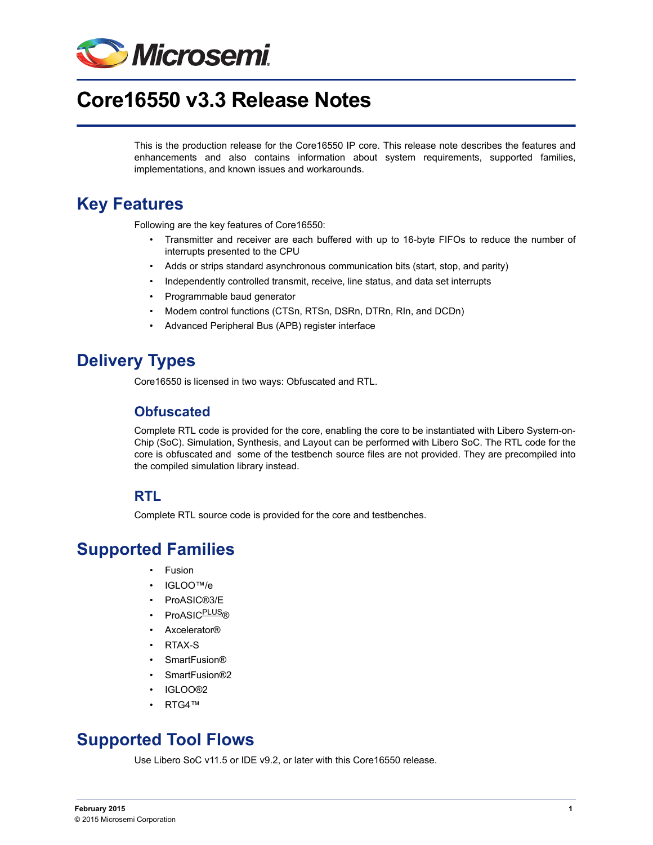

# **Core16550 v3.3 Release Notes**

This is the production release for the Core16550 IP core. This release note describes the features and enhancements and also contains information about system requirements, supported families, implementations, and known issues and workarounds.

#### **Key Features**

Following are the key features of Core16550:

- Transmitter and receiver are each buffered with up to 16-byte FIFOs to reduce the number of interrupts presented to the CPU
- Adds or strips standard asynchronous communication bits (start, stop, and parity)
- Independently controlled transmit, receive, line status, and data set interrupts
- Programmable baud generator
- Modem control functions (CTSn, RTSn, DSRn, DTRn, RIn, and DCDn)
- Advanced Peripheral Bus (APB) register interface

## **Delivery Types**

Core16550 is licensed in two ways: Obfuscated and RTL.

#### **Obfuscated**

Complete RTL code is provided for the core, enabling the core to be instantiated with Libero System-on-Chip (SoC). Simulation, Synthesis, and Layout can be performed with Libero SoC. The RTL code for the core is obfuscated and some of the testbench source files are not provided. They are precompiled into the compiled simulation library instead.

#### **RTL**

Complete RTL source code is provided for the core and testbenches.

#### **Supported Families**

- Fusion
- IGLOO™/e
- ProASIC®3/E
- ProASIC<sup>PLUS®</sup>
- Axcelerator®
- RTAX-S
- SmartFusion®
- SmartFusion®2
- IGLOO®2
- RTG4™

### **Supported Tool Flows**

Use Libero SoC v11.5 or IDE v9.2, or later with this Core16550 release.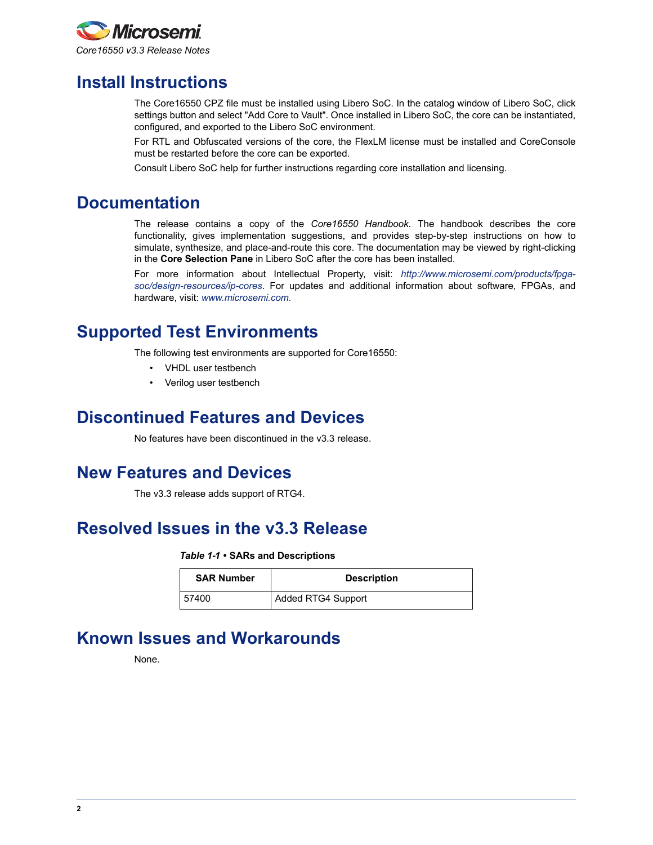

## **Install Instructions**

The Core16550 CPZ file must be installed using Libero SoC. In the catalog window of Libero SoC, click settings button and select "Add Core to Vault". Once installed in Libero SoC, the core can be instantiated, configured, and exported to the Libero SoC environment.

For RTL and Obfuscated versions of the core, the FlexLM license must be installed and CoreConsole must be restarted before the core can be exported.

Consult Libero SoC help for further instructions regarding core installation and licensing.

### **Documentation**

The release contains a copy of the *Core16550 Handbook*. The handbook describes the core functionality, gives implementation suggestions, and provides step-by-step instructions on how to simulate, synthesize, and place-and-route this core. The documentation may be viewed by right-clicking in the **Core Selection Pane** in Libero SoC after the core has been installed.

For more information about Intellectual Property, visit: *[http://www.microsemi.com/products/fpga](http://www.microsemi.com/products/fpga-soc/design-resources/ip-cores)[soc/design-resources/ip-cores](http://www.microsemi.com/products/fpga-soc/design-resources/ip-cores)*. For updates and additional information about software, FPGAs, and hardware, visit: *[www.microsemi.com.](www.microsemi.com)*

## **Supported Test Environments**

The following test environments are supported for Core16550:

- VHDL user testbench
- Verilog user testbench

#### **Discontinued Features and Devices**

No features have been discontinued in the v3.3 release.

### **New Features and Devices**

The v3.3 release adds support of RTG4.

### **Resolved Issues in the v3.3 Release**

#### *Table 1-1 •* **SARs and Descriptions**

| <b>SAR Number</b> | <b>Description</b>        |
|-------------------|---------------------------|
| 57400             | <b>Added RTG4 Support</b> |

### **Known Issues and Workarounds**

None.